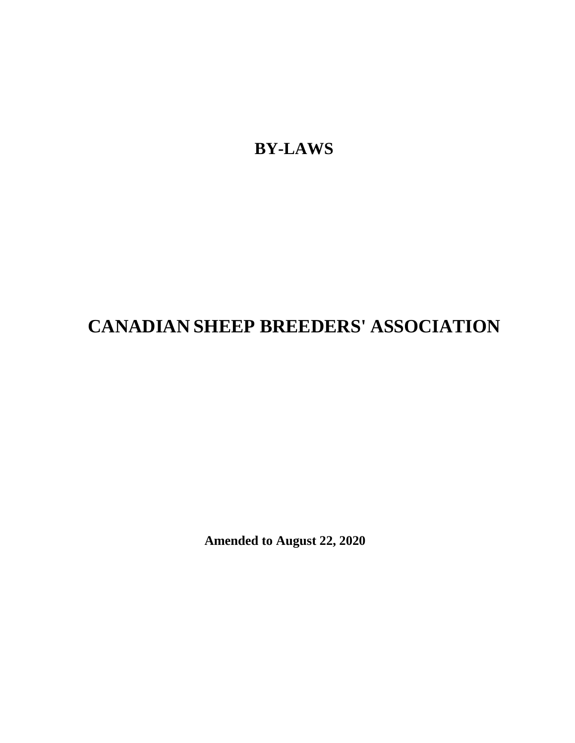**BY-LAWS**

# **CANADIAN SHEEP BREEDERS' ASSOCIATION**

**Amended to August 22, 2020**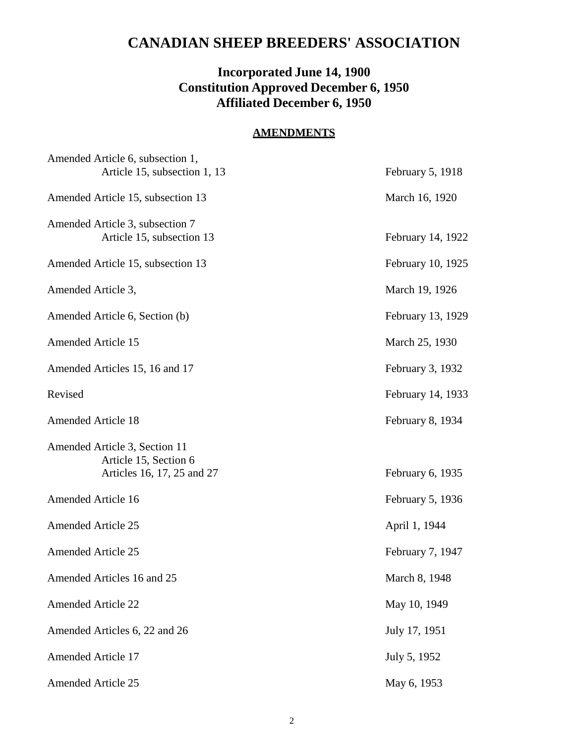# **CANADIAN SHEEP BREEDERS' ASSOCIATION**

## **Incorporated June 14, 1900 Constitution Approved December 6, 1950 Affiliated December 6, 1950**

### **AMENDMENTS**

| Amended Article 6, subsection 1,<br>Article 15, subsection 1, 13                     | February 5, 1918  |
|--------------------------------------------------------------------------------------|-------------------|
| Amended Article 15, subsection 13                                                    | March 16, 1920    |
| Amended Article 3, subsection 7<br>Article 15, subsection 13                         | February 14, 1922 |
| Amended Article 15, subsection 13                                                    | February 10, 1925 |
| Amended Article 3,                                                                   | March 19, 1926    |
| Amended Article 6, Section (b)                                                       | February 13, 1929 |
| <b>Amended Article 15</b>                                                            | March 25, 1930    |
| Amended Articles 15, 16 and 17                                                       | February 3, 1932  |
| Revised                                                                              | February 14, 1933 |
| <b>Amended Article 18</b>                                                            | February 8, 1934  |
| Amended Article 3, Section 11<br>Article 15, Section 6<br>Articles 16, 17, 25 and 27 | February 6, 1935  |
| <b>Amended Article 16</b>                                                            | February 5, 1936  |
| <b>Amended Article 25</b>                                                            | April 1, 1944     |
| <b>Amended Article 25</b>                                                            | February 7, 1947  |
| Amended Articles 16 and 25                                                           | March 8, 1948     |
| <b>Amended Article 22</b>                                                            | May 10, 1949      |
| Amended Articles 6, 22 and 26                                                        | July 17, 1951     |
| <b>Amended Article 17</b>                                                            | July 5, 1952      |
| <b>Amended Article 25</b>                                                            | May 6, 1953       |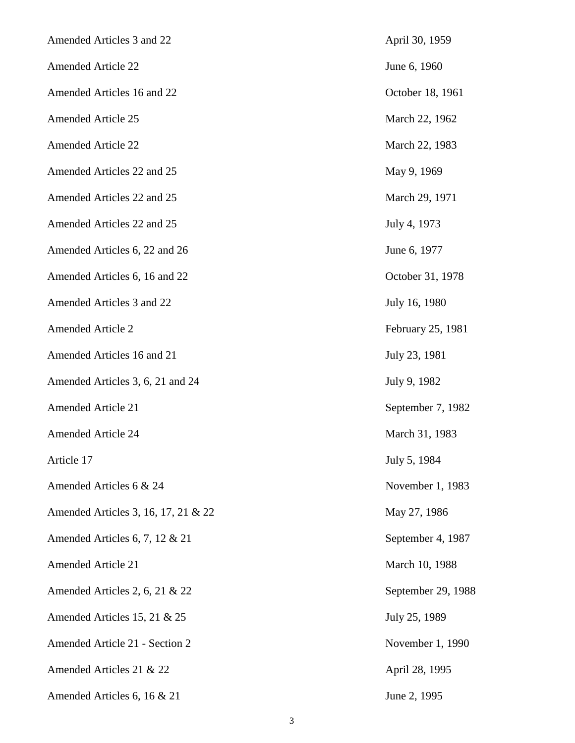| Amended Articles 3 and 22           | April 30, 1959     |
|-------------------------------------|--------------------|
| <b>Amended Article 22</b>           | June 6, 1960       |
| Amended Articles 16 and 22          | October 18, 1961   |
| <b>Amended Article 25</b>           | March 22, 1962     |
| <b>Amended Article 22</b>           | March 22, 1983     |
| Amended Articles 22 and 25          | May 9, 1969        |
| Amended Articles 22 and 25          | March 29, 1971     |
| Amended Articles 22 and 25          | July 4, 1973       |
| Amended Articles 6, 22 and 26       | June 6, 1977       |
| Amended Articles 6, 16 and 22       | October 31, 1978   |
| Amended Articles 3 and 22           | July 16, 1980      |
| <b>Amended Article 2</b>            | February 25, 1981  |
| Amended Articles 16 and 21          | July 23, 1981      |
| Amended Articles 3, 6, 21 and 24    | July 9, 1982       |
| <b>Amended Article 21</b>           | September 7, 1982  |
| <b>Amended Article 24</b>           | March 31, 1983     |
| Article 17                          | July 5, 1984       |
| Amended Articles 6 & 24             | November 1, 1983   |
| Amended Articles 3, 16, 17, 21 & 22 | May 27, 1986       |
| Amended Articles 6, 7, 12 $& 21$    | September 4, 1987  |
| <b>Amended Article 21</b>           | March 10, 1988     |
| Amended Articles 2, 6, 21 & 22      | September 29, 1988 |
| Amended Articles 15, 21 & 25        | July 25, 1989      |
| Amended Article 21 - Section 2      | November 1, 1990   |
| Amended Articles 21 & 22            | April 28, 1995     |
| Amended Articles 6, 16 & 21         | June 2, 1995       |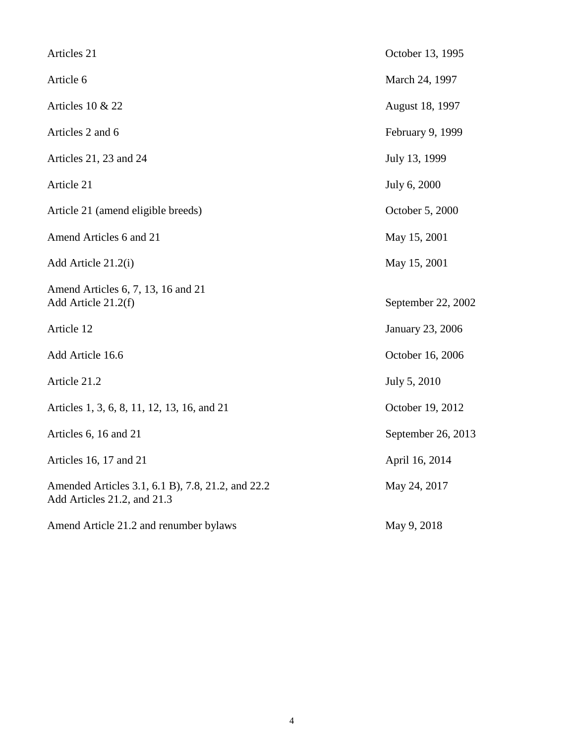| Articles 21                                                                      | October 13, 1995   |
|----------------------------------------------------------------------------------|--------------------|
| Article 6                                                                        | March 24, 1997     |
| Articles 10 & 22                                                                 | August 18, 1997    |
| Articles 2 and 6                                                                 | February 9, 1999   |
| Articles 21, 23 and 24                                                           | July 13, 1999      |
| Article 21                                                                       | July 6, 2000       |
| Article 21 (amend eligible breeds)                                               | October 5, 2000    |
| Amend Articles 6 and 21                                                          | May 15, 2001       |
| Add Article 21.2(i)                                                              | May 15, 2001       |
| Amend Articles 6, 7, 13, 16 and 21<br>Add Article 21.2(f)                        | September 22, 2002 |
| Article 12                                                                       | January 23, 2006   |
| Add Article 16.6                                                                 | October 16, 2006   |
| Article 21.2                                                                     | July 5, 2010       |
| Articles 1, 3, 6, 8, 11, 12, 13, 16, and 21                                      | October 19, 2012   |
| Articles 6, 16 and 21                                                            | September 26, 2013 |
| Articles 16, 17 and 21                                                           | April 16, 2014     |
| Amended Articles 3.1, 6.1 B), 7.8, 21.2, and 22.2<br>Add Articles 21.2, and 21.3 | May 24, 2017       |
| Amend Article 21.2 and renumber bylaws                                           | May 9, 2018        |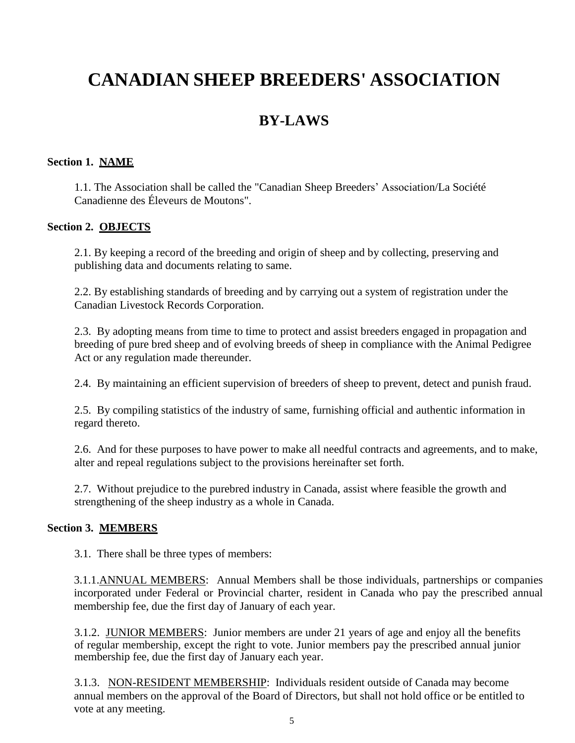# **CANADIAN SHEEP BREEDERS' ASSOCIATION**

# **BY-LAWS**

#### **Section 1. NAME**

1.1. The Association shall be called the "Canadian Sheep Breeders' Association/La Société Canadienne des Éleveurs de Moutons".

#### **Section 2. OBJECTS**

2.1. By keeping a record of the breeding and origin of sheep and by collecting, preserving and publishing data and documents relating to same.

2.2. By establishing standards of breeding and by carrying out a system of registration under the Canadian Livestock Records Corporation.

2.3. By adopting means from time to time to protect and assist breeders engaged in propagation and breeding of pure bred sheep and of evolving breeds of sheep in compliance with the Animal Pedigree Act or any regulation made thereunder.

2.4. By maintaining an efficient supervision of breeders of sheep to prevent, detect and punish fraud.

2.5. By compiling statistics of the industry of same, furnishing official and authentic information in regard thereto.

2.6. And for these purposes to have power to make all needful contracts and agreements, and to make, alter and repeal regulations subject to the provisions hereinafter set forth.

2.7. Without prejudice to the purebred industry in Canada, assist where feasible the growth and strengthening of the sheep industry as a whole in Canada.

#### **Section 3. MEMBERS**

3.1. There shall be three types of members:

3.1.1.ANNUAL MEMBERS: Annual Members shall be those individuals, partnerships or companies incorporated under Federal or Provincial charter, resident in Canada who pay the prescribed annual membership fee, due the first day of January of each year.

3.1.2. JUNIOR MEMBERS: Junior members are under 21 years of age and enjoy all the benefits of regular membership, except the right to vote. Junior members pay the prescribed annual junior membership fee, due the first day of January each year.

3.1.3. NON-RESIDENT MEMBERSHIP: Individuals resident outside of Canada may become annual members on the approval of the Board of Directors, but shall not hold office or be entitled to vote at any meeting.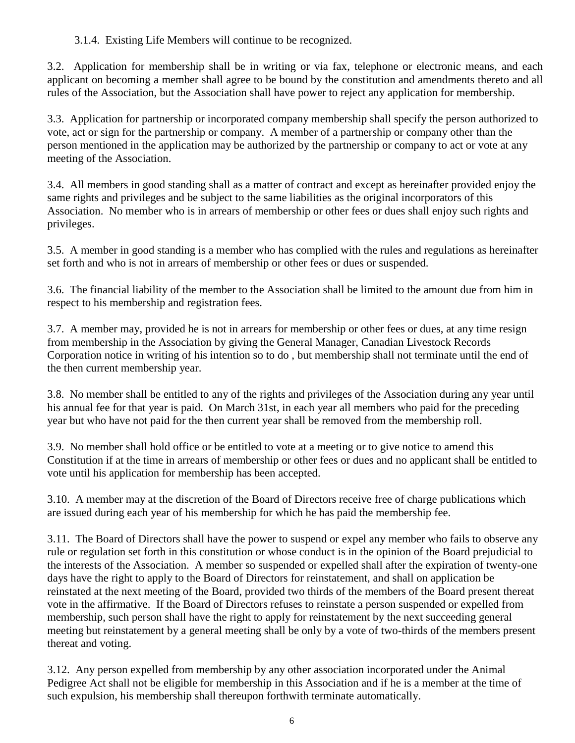## 3.1.4. Existing Life Members will continue to be recognized.

3.2. Application for membership shall be in writing or via fax, telephone or electronic means, and each applicant on becoming a member shall agree to be bound by the constitution and amendments thereto and all rules of the Association, but the Association shall have power to reject any application for membership.

3.3. Application for partnership or incorporated company membership shall specify the person authorized to vote, act or sign for the partnership or company. A member of a partnership or company other than the person mentioned in the application may be authorized by the partnership or company to act or vote at any meeting of the Association.

3.4. All members in good standing shall as a matter of contract and except as hereinafter provided enjoy the same rights and privileges and be subject to the same liabilities as the original incorporators of this Association. No member who is in arrears of membership or other fees or dues shall enjoy such rights and privileges.

3.5. A member in good standing is a member who has complied with the rules and regulations as hereinafter set forth and who is not in arrears of membership or other fees or dues or suspended.

3.6. The financial liability of the member to the Association shall be limited to the amount due from him in respect to his membership and registration fees.

3.7. A member may, provided he is not in arrears for membership or other fees or dues, at any time resign from membership in the Association by giving the General Manager, Canadian Livestock Records Corporation notice in writing of his intention so to do , but membership shall not terminate until the end of the then current membership year.

3.8. No member shall be entitled to any of the rights and privileges of the Association during any year until his annual fee for that year is paid. On March 31st, in each year all members who paid for the preceding year but who have not paid for the then current year shall be removed from the membership roll.

3.9. No member shall hold office or be entitled to vote at a meeting or to give notice to amend this Constitution if at the time in arrears of membership or other fees or dues and no applicant shall be entitled to vote until his application for membership has been accepted.

3.10. A member may at the discretion of the Board of Directors receive free of charge publications which are issued during each year of his membership for which he has paid the membership fee.

3.11. The Board of Directors shall have the power to suspend or expel any member who fails to observe any rule or regulation set forth in this constitution or whose conduct is in the opinion of the Board prejudicial to the interests of the Association. A member so suspended or expelled shall after the expiration of twenty-one days have the right to apply to the Board of Directors for reinstatement, and shall on application be reinstated at the next meeting of the Board, provided two thirds of the members of the Board present thereat vote in the affirmative. If the Board of Directors refuses to reinstate a person suspended or expelled from membership, such person shall have the right to apply for reinstatement by the next succeeding general meeting but reinstatement by a general meeting shall be only by a vote of two-thirds of the members present thereat and voting.

3.12. Any person expelled from membership by any other association incorporated under the Animal Pedigree Act shall not be eligible for membership in this Association and if he is a member at the time of such expulsion, his membership shall thereupon forthwith terminate automatically.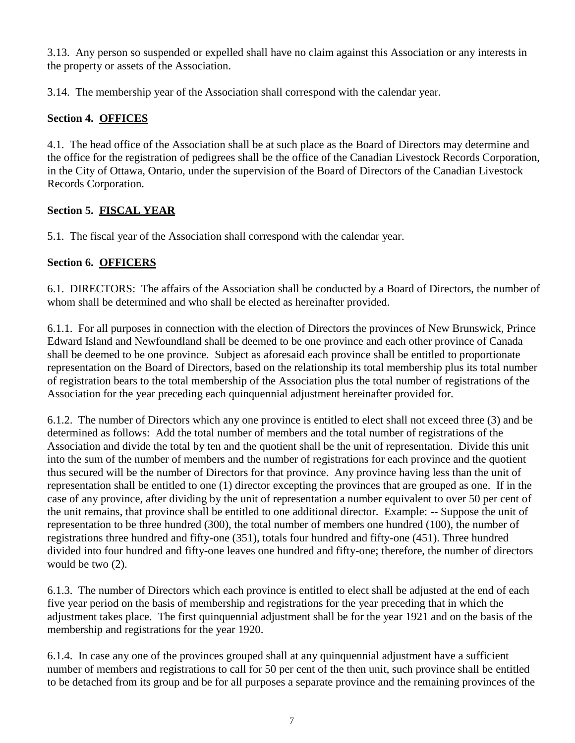3.13. Any person so suspended or expelled shall have no claim against this Association or any interests in the property or assets of the Association.

3.14. The membership year of the Association shall correspond with the calendar year.

## **Section 4. OFFICES**

4.1. The head office of the Association shall be at such place as the Board of Directors may determine and the office for the registration of pedigrees shall be the office of the Canadian Livestock Records Corporation, in the City of Ottawa, Ontario, under the supervision of the Board of Directors of the Canadian Livestock Records Corporation.

## **Section 5. FISCAL YEAR**

5.1. The fiscal year of the Association shall correspond with the calendar year.

## **Section 6. OFFICERS**

6.1. DIRECTORS: The affairs of the Association shall be conducted by a Board of Directors, the number of whom shall be determined and who shall be elected as hereinafter provided.

6.1.1. For all purposes in connection with the election of Directors the provinces of New Brunswick, Prince Edward Island and Newfoundland shall be deemed to be one province and each other province of Canada shall be deemed to be one province. Subject as aforesaid each province shall be entitled to proportionate representation on the Board of Directors, based on the relationship its total membership plus its total number of registration bears to the total membership of the Association plus the total number of registrations of the Association for the year preceding each quinquennial adjustment hereinafter provided for.

6.1.2. The number of Directors which any one province is entitled to elect shall not exceed three (3) and be determined as follows: Add the total number of members and the total number of registrations of the Association and divide the total by ten and the quotient shall be the unit of representation. Divide this unit into the sum of the number of members and the number of registrations for each province and the quotient thus secured will be the number of Directors for that province. Any province having less than the unit of representation shall be entitled to one (1) director excepting the provinces that are grouped as one. If in the case of any province, after dividing by the unit of representation a number equivalent to over 50 per cent of the unit remains, that province shall be entitled to one additional director. Example: -- Suppose the unit of representation to be three hundred (300), the total number of members one hundred (100), the number of registrations three hundred and fifty-one (351), totals four hundred and fifty-one (451). Three hundred divided into four hundred and fifty-one leaves one hundred and fifty-one; therefore, the number of directors would be two (2).

6.1.3. The number of Directors which each province is entitled to elect shall be adjusted at the end of each five year period on the basis of membership and registrations for the year preceding that in which the adjustment takes place. The first quinquennial adjustment shall be for the year 1921 and on the basis of the membership and registrations for the year 1920.

6.1.4. In case any one of the provinces grouped shall at any quinquennial adjustment have a sufficient number of members and registrations to call for 50 per cent of the then unit, such province shall be entitled to be detached from its group and be for all purposes a separate province and the remaining provinces of the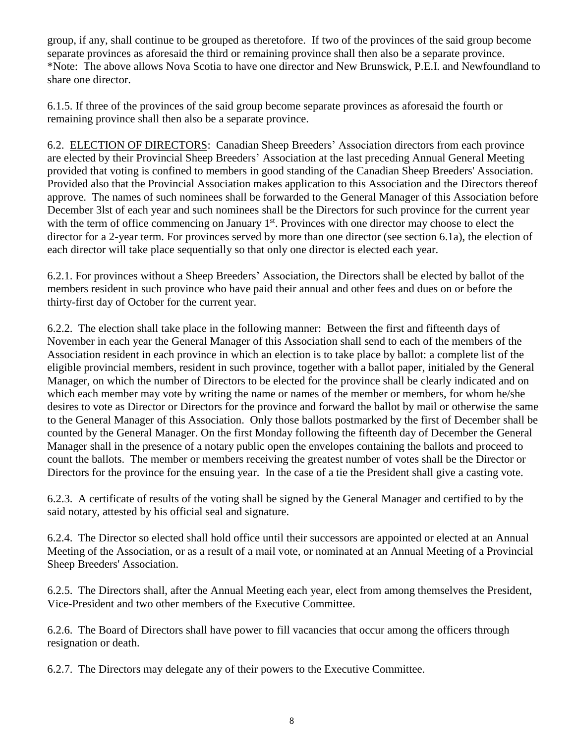group, if any, shall continue to be grouped as theretofore. If two of the provinces of the said group become separate provinces as aforesaid the third or remaining province shall then also be a separate province. \*Note: The above allows Nova Scotia to have one director and New Brunswick, P.E.I. and Newfoundland to share one director.

6.1.5. If three of the provinces of the said group become separate provinces as aforesaid the fourth or remaining province shall then also be a separate province.

6.2. ELECTION OF DIRECTORS: Canadian Sheep Breeders' Association directors from each province are elected by their Provincial Sheep Breeders' Association at the last preceding Annual General Meeting provided that voting is confined to members in good standing of the Canadian Sheep Breeders' Association. Provided also that the Provincial Association makes application to this Association and the Directors thereof approve. The names of such nominees shall be forwarded to the General Manager of this Association before December 3lst of each year and such nominees shall be the Directors for such province for the current year with the term of office commencing on January 1<sup>st</sup>. Provinces with one director may choose to elect the director for a 2-year term. For provinces served by more than one director (see section 6.1a), the election of each director will take place sequentially so that only one director is elected each year.

6.2.1. For provinces without a Sheep Breeders' Association, the Directors shall be elected by ballot of the members resident in such province who have paid their annual and other fees and dues on or before the thirty-first day of October for the current year.

6.2.2. The election shall take place in the following manner: Between the first and fifteenth days of November in each year the General Manager of this Association shall send to each of the members of the Association resident in each province in which an election is to take place by ballot: a complete list of the eligible provincial members, resident in such province, together with a ballot paper, initialed by the General Manager, on which the number of Directors to be elected for the province shall be clearly indicated and on which each member may vote by writing the name or names of the member or members, for whom he/she desires to vote as Director or Directors for the province and forward the ballot by mail or otherwise the same to the General Manager of this Association. Only those ballots postmarked by the first of December shall be counted by the General Manager. On the first Monday following the fifteenth day of December the General Manager shall in the presence of a notary public open the envelopes containing the ballots and proceed to count the ballots. The member or members receiving the greatest number of votes shall be the Director or Directors for the province for the ensuing year. In the case of a tie the President shall give a casting vote.

6.2.3. A certificate of results of the voting shall be signed by the General Manager and certified to by the said notary, attested by his official seal and signature.

6.2.4. The Director so elected shall hold office until their successors are appointed or elected at an Annual Meeting of the Association, or as a result of a mail vote, or nominated at an Annual Meeting of a Provincial Sheep Breeders' Association.

6.2.5. The Directors shall, after the Annual Meeting each year, elect from among themselves the President, Vice-President and two other members of the Executive Committee.

6.2.6. The Board of Directors shall have power to fill vacancies that occur among the officers through resignation or death.

6.2.7. The Directors may delegate any of their powers to the Executive Committee.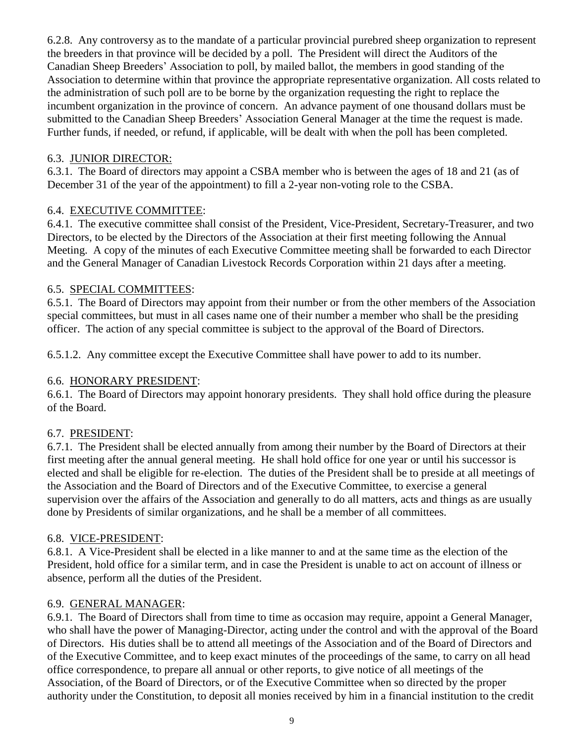6.2.8. Any controversy as to the mandate of a particular provincial purebred sheep organization to represent the breeders in that province will be decided by a poll. The President will direct the Auditors of the Canadian Sheep Breeders' Association to poll, by mailed ballot, the members in good standing of the Association to determine within that province the appropriate representative organization. All costs related to the administration of such poll are to be borne by the organization requesting the right to replace the incumbent organization in the province of concern. An advance payment of one thousand dollars must be submitted to the Canadian Sheep Breeders' Association General Manager at the time the request is made. Further funds, if needed, or refund, if applicable, will be dealt with when the poll has been completed.

#### 6.3. JUNIOR DIRECTOR:

6.3.1. The Board of directors may appoint a CSBA member who is between the ages of 18 and 21 (as of December 31 of the year of the appointment) to fill a 2-year non-voting role to the CSBA.

### 6.4. EXECUTIVE COMMITTEE:

6.4.1. The executive committee shall consist of the President, Vice-President, Secretary-Treasurer, and two Directors, to be elected by the Directors of the Association at their first meeting following the Annual Meeting. A copy of the minutes of each Executive Committee meeting shall be forwarded to each Director and the General Manager of Canadian Livestock Records Corporation within 21 days after a meeting.

### 6.5. SPECIAL COMMITTEES:

6.5.1. The Board of Directors may appoint from their number or from the other members of the Association special committees, but must in all cases name one of their number a member who shall be the presiding officer. The action of any special committee is subject to the approval of the Board of Directors.

6.5.1.2. Any committee except the Executive Committee shall have power to add to its number.

## 6.6. HONORARY PRESIDENT:

6.6.1. The Board of Directors may appoint honorary presidents. They shall hold office during the pleasure of the Board.

#### 6.7. PRESIDENT:

6.7.1. The President shall be elected annually from among their number by the Board of Directors at their first meeting after the annual general meeting. He shall hold office for one year or until his successor is elected and shall be eligible for re-election. The duties of the President shall be to preside at all meetings of the Association and the Board of Directors and of the Executive Committee, to exercise a general supervision over the affairs of the Association and generally to do all matters, acts and things as are usually done by Presidents of similar organizations, and he shall be a member of all committees.

#### 6.8. VICE-PRESIDENT:

6.8.1. A Vice-President shall be elected in a like manner to and at the same time as the election of the President, hold office for a similar term, and in case the President is unable to act on account of illness or absence, perform all the duties of the President.

#### 6.9. GENERAL MANAGER:

6.9.1. The Board of Directors shall from time to time as occasion may require, appoint a General Manager, who shall have the power of Managing-Director, acting under the control and with the approval of the Board of Directors. His duties shall be to attend all meetings of the Association and of the Board of Directors and of the Executive Committee, and to keep exact minutes of the proceedings of the same, to carry on all head office correspondence, to prepare all annual or other reports, to give notice of all meetings of the Association, of the Board of Directors, or of the Executive Committee when so directed by the proper authority under the Constitution, to deposit all monies received by him in a financial institution to the credit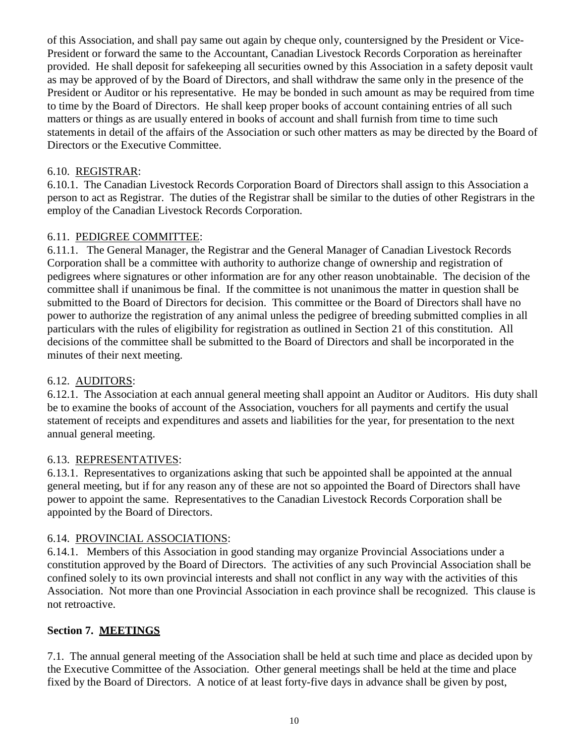of this Association, and shall pay same out again by cheque only, countersigned by the President or Vice-President or forward the same to the Accountant, Canadian Livestock Records Corporation as hereinafter provided. He shall deposit for safekeeping all securities owned by this Association in a safety deposit vault as may be approved of by the Board of Directors, and shall withdraw the same only in the presence of the President or Auditor or his representative. He may be bonded in such amount as may be required from time to time by the Board of Directors. He shall keep proper books of account containing entries of all such matters or things as are usually entered in books of account and shall furnish from time to time such statements in detail of the affairs of the Association or such other matters as may be directed by the Board of Directors or the Executive Committee.

### 6.10. REGISTRAR:

6.10.1. The Canadian Livestock Records Corporation Board of Directors shall assign to this Association a person to act as Registrar. The duties of the Registrar shall be similar to the duties of other Registrars in the employ of the Canadian Livestock Records Corporation.

### 6.11. PEDIGREE COMMITTEE:

6.11.1. The General Manager, the Registrar and the General Manager of Canadian Livestock Records Corporation shall be a committee with authority to authorize change of ownership and registration of pedigrees where signatures or other information are for any other reason unobtainable. The decision of the committee shall if unanimous be final. If the committee is not unanimous the matter in question shall be submitted to the Board of Directors for decision. This committee or the Board of Directors shall have no power to authorize the registration of any animal unless the pedigree of breeding submitted complies in all particulars with the rules of eligibility for registration as outlined in Section 21 of this constitution. All decisions of the committee shall be submitted to the Board of Directors and shall be incorporated in the minutes of their next meeting.

#### 6.12. AUDITORS:

6.12.1. The Association at each annual general meeting shall appoint an Auditor or Auditors. His duty shall be to examine the books of account of the Association, vouchers for all payments and certify the usual statement of receipts and expenditures and assets and liabilities for the year, for presentation to the next annual general meeting.

#### 6.13. REPRESENTATIVES:

6.13.1. Representatives to organizations asking that such be appointed shall be appointed at the annual general meeting, but if for any reason any of these are not so appointed the Board of Directors shall have power to appoint the same. Representatives to the Canadian Livestock Records Corporation shall be appointed by the Board of Directors.

#### 6.14. PROVINCIAL ASSOCIATIONS:

6.14.1. Members of this Association in good standing may organize Provincial Associations under a constitution approved by the Board of Directors. The activities of any such Provincial Association shall be confined solely to its own provincial interests and shall not conflict in any way with the activities of this Association. Not more than one Provincial Association in each province shall be recognized. This clause is not retroactive.

## **Section 7. MEETINGS**

7.1. The annual general meeting of the Association shall be held at such time and place as decided upon by the Executive Committee of the Association. Other general meetings shall be held at the time and place fixed by the Board of Directors. A notice of at least forty-five days in advance shall be given by post,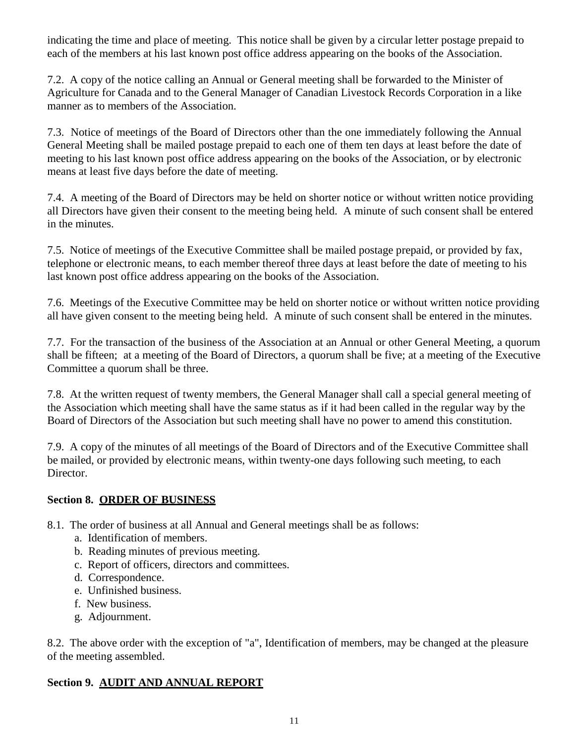indicating the time and place of meeting. This notice shall be given by a circular letter postage prepaid to each of the members at his last known post office address appearing on the books of the Association.

7.2. A copy of the notice calling an Annual or General meeting shall be forwarded to the Minister of Agriculture for Canada and to the General Manager of Canadian Livestock Records Corporation in a like manner as to members of the Association.

7.3. Notice of meetings of the Board of Directors other than the one immediately following the Annual General Meeting shall be mailed postage prepaid to each one of them ten days at least before the date of meeting to his last known post office address appearing on the books of the Association, or by electronic means at least five days before the date of meeting.

7.4. A meeting of the Board of Directors may be held on shorter notice or without written notice providing all Directors have given their consent to the meeting being held. A minute of such consent shall be entered in the minutes.

7.5. Notice of meetings of the Executive Committee shall be mailed postage prepaid, or provided by fax, telephone or electronic means, to each member thereof three days at least before the date of meeting to his last known post office address appearing on the books of the Association.

7.6. Meetings of the Executive Committee may be held on shorter notice or without written notice providing all have given consent to the meeting being held. A minute of such consent shall be entered in the minutes.

7.7. For the transaction of the business of the Association at an Annual or other General Meeting, a quorum shall be fifteen; at a meeting of the Board of Directors, a quorum shall be five; at a meeting of the Executive Committee a quorum shall be three.

7.8. At the written request of twenty members, the General Manager shall call a special general meeting of the Association which meeting shall have the same status as if it had been called in the regular way by the Board of Directors of the Association but such meeting shall have no power to amend this constitution.

7.9. A copy of the minutes of all meetings of the Board of Directors and of the Executive Committee shall be mailed, or provided by electronic means, within twenty-one days following such meeting, to each Director.

#### **Section 8. ORDER OF BUSINESS**

- 8.1. The order of business at all Annual and General meetings shall be as follows:
	- a. Identification of members.
	- b. Reading minutes of previous meeting.
	- c. Report of officers, directors and committees.
	- d. Correspondence.
	- e. Unfinished business.
	- f. New business.
	- g. Adjournment.

8.2. The above order with the exception of "a", Identification of members, may be changed at the pleasure of the meeting assembled.

## **Section 9. AUDIT AND ANNUAL REPORT**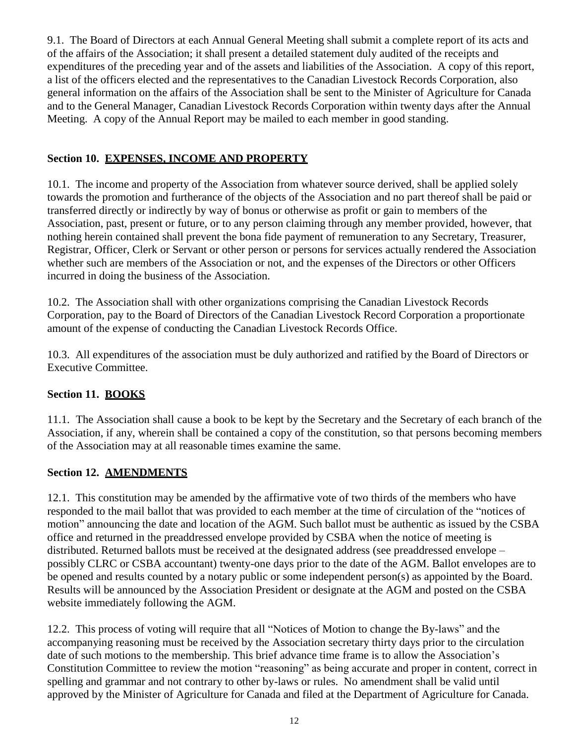9.1. The Board of Directors at each Annual General Meeting shall submit a complete report of its acts and of the affairs of the Association; it shall present a detailed statement duly audited of the receipts and expenditures of the preceding year and of the assets and liabilities of the Association. A copy of this report, a list of the officers elected and the representatives to the Canadian Livestock Records Corporation, also general information on the affairs of the Association shall be sent to the Minister of Agriculture for Canada and to the General Manager, Canadian Livestock Records Corporation within twenty days after the Annual Meeting. A copy of the Annual Report may be mailed to each member in good standing.

## **Section 10. EXPENSES, INCOME AND PROPERTY**

10.1. The income and property of the Association from whatever source derived, shall be applied solely towards the promotion and furtherance of the objects of the Association and no part thereof shall be paid or transferred directly or indirectly by way of bonus or otherwise as profit or gain to members of the Association, past, present or future, or to any person claiming through any member provided, however, that nothing herein contained shall prevent the bona fide payment of remuneration to any Secretary, Treasurer, Registrar, Officer, Clerk or Servant or other person or persons for services actually rendered the Association whether such are members of the Association or not, and the expenses of the Directors or other Officers incurred in doing the business of the Association.

10.2. The Association shall with other organizations comprising the Canadian Livestock Records Corporation, pay to the Board of Directors of the Canadian Livestock Record Corporation a proportionate amount of the expense of conducting the Canadian Livestock Records Office.

10.3. All expenditures of the association must be duly authorized and ratified by the Board of Directors or Executive Committee.

## **Section 11. BOOKS**

11.1. The Association shall cause a book to be kept by the Secretary and the Secretary of each branch of the Association, if any, wherein shall be contained a copy of the constitution, so that persons becoming members of the Association may at all reasonable times examine the same.

## **Section 12. AMENDMENTS**

12.1. This constitution may be amended by the affirmative vote of two thirds of the members who have responded to the mail ballot that was provided to each member at the time of circulation of the "notices of motion" announcing the date and location of the AGM. Such ballot must be authentic as issued by the CSBA office and returned in the preaddressed envelope provided by CSBA when the notice of meeting is distributed. Returned ballots must be received at the designated address (see preaddressed envelope – possibly CLRC or CSBA accountant) twenty-one days prior to the date of the AGM. Ballot envelopes are to be opened and results counted by a notary public or some independent person(s) as appointed by the Board. Results will be announced by the Association President or designate at the AGM and posted on the CSBA website immediately following the AGM.

12.2. This process of voting will require that all "Notices of Motion to change the By-laws" and the accompanying reasoning must be received by the Association secretary thirty days prior to the circulation date of such motions to the membership. This brief advance time frame is to allow the Association's Constitution Committee to review the motion "reasoning" as being accurate and proper in content, correct in spelling and grammar and not contrary to other by-laws or rules. No amendment shall be valid until approved by the Minister of Agriculture for Canada and filed at the Department of Agriculture for Canada.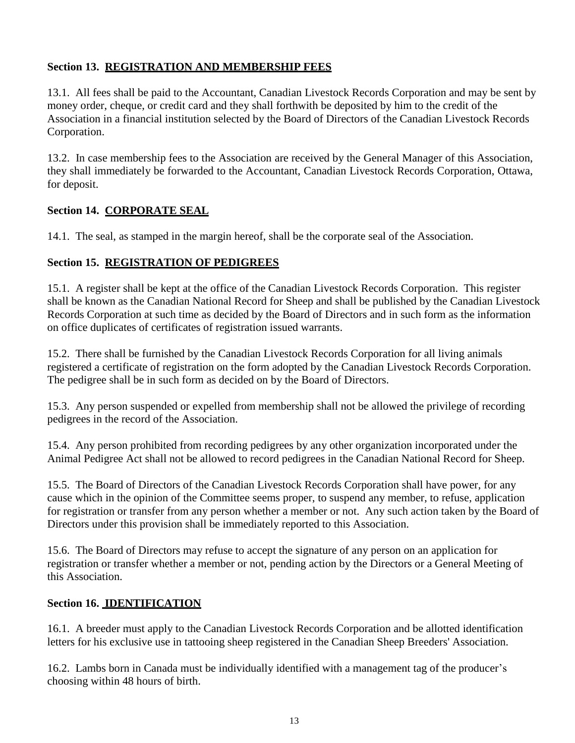## **Section 13. REGISTRATION AND MEMBERSHIP FEES**

13.1. All fees shall be paid to the Accountant, Canadian Livestock Records Corporation and may be sent by money order, cheque, or credit card and they shall forthwith be deposited by him to the credit of the Association in a financial institution selected by the Board of Directors of the Canadian Livestock Records Corporation.

13.2. In case membership fees to the Association are received by the General Manager of this Association, they shall immediately be forwarded to the Accountant, Canadian Livestock Records Corporation, Ottawa, for deposit.

### **Section 14. CORPORATE SEAL**

14.1. The seal, as stamped in the margin hereof, shall be the corporate seal of the Association.

#### **Section 15. REGISTRATION OF PEDIGREES**

15.1. A register shall be kept at the office of the Canadian Livestock Records Corporation. This register shall be known as the Canadian National Record for Sheep and shall be published by the Canadian Livestock Records Corporation at such time as decided by the Board of Directors and in such form as the information on office duplicates of certificates of registration issued warrants.

15.2. There shall be furnished by the Canadian Livestock Records Corporation for all living animals registered a certificate of registration on the form adopted by the Canadian Livestock Records Corporation. The pedigree shall be in such form as decided on by the Board of Directors.

15.3. Any person suspended or expelled from membership shall not be allowed the privilege of recording pedigrees in the record of the Association.

15.4. Any person prohibited from recording pedigrees by any other organization incorporated under the Animal Pedigree Act shall not be allowed to record pedigrees in the Canadian National Record for Sheep.

15.5. The Board of Directors of the Canadian Livestock Records Corporation shall have power, for any cause which in the opinion of the Committee seems proper, to suspend any member, to refuse, application for registration or transfer from any person whether a member or not. Any such action taken by the Board of Directors under this provision shall be immediately reported to this Association.

15.6. The Board of Directors may refuse to accept the signature of any person on an application for registration or transfer whether a member or not, pending action by the Directors or a General Meeting of this Association.

#### **Section 16. IDENTIFICATION**

16.1. A breeder must apply to the Canadian Livestock Records Corporation and be allotted identification letters for his exclusive use in tattooing sheep registered in the Canadian Sheep Breeders' Association.

16.2. Lambs born in Canada must be individually identified with a management tag of the producer's choosing within 48 hours of birth.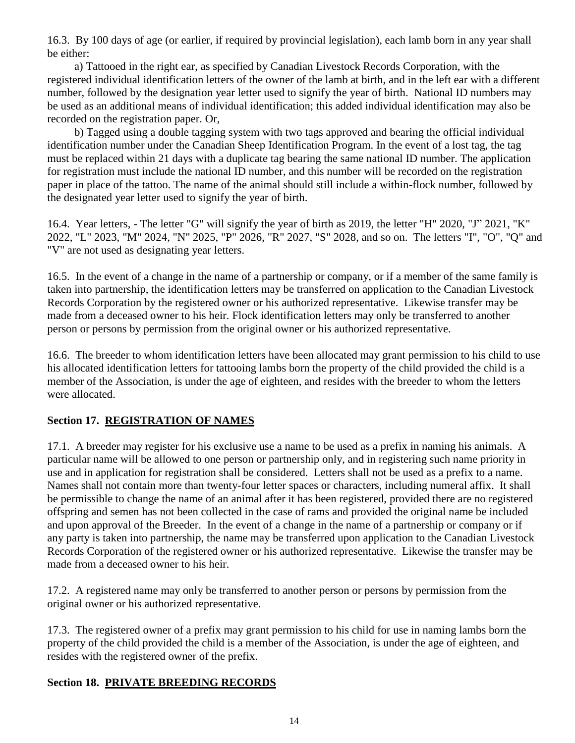16.3. By 100 days of age (or earlier, if required by provincial legislation), each lamb born in any year shall be either:

a) Tattooed in the right ear, as specified by Canadian Livestock Records Corporation, with the registered individual identification letters of the owner of the lamb at birth, and in the left ear with a different number, followed by the designation year letter used to signify the year of birth. National ID numbers may be used as an additional means of individual identification; this added individual identification may also be recorded on the registration paper. Or,

b) Tagged using a double tagging system with two tags approved and bearing the official individual identification number under the Canadian Sheep Identification Program. In the event of a lost tag, the tag must be replaced within 21 days with a duplicate tag bearing the same national ID number. The application for registration must include the national ID number, and this number will be recorded on the registration paper in place of the tattoo. The name of the animal should still include a within-flock number, followed by the designated year letter used to signify the year of birth.

16.4. Year letters, - The letter "G" will signify the year of birth as 2019, the letter "H" 2020, "J" 2021, "K" 2022, "L" 2023, "M" 2024, "N" 2025, "P" 2026, "R" 2027, "S" 2028, and so on. The letters "I", "O", "Q" and "V" are not used as designating year letters.

16.5. In the event of a change in the name of a partnership or company, or if a member of the same family is taken into partnership, the identification letters may be transferred on application to the Canadian Livestock Records Corporation by the registered owner or his authorized representative. Likewise transfer may be made from a deceased owner to his heir. Flock identification letters may only be transferred to another person or persons by permission from the original owner or his authorized representative.

16.6. The breeder to whom identification letters have been allocated may grant permission to his child to use his allocated identification letters for tattooing lambs born the property of the child provided the child is a member of the Association, is under the age of eighteen, and resides with the breeder to whom the letters were allocated.

## **Section 17. REGISTRATION OF NAMES**

17.1. A breeder may register for his exclusive use a name to be used as a prefix in naming his animals. A particular name will be allowed to one person or partnership only, and in registering such name priority in use and in application for registration shall be considered. Letters shall not be used as a prefix to a name. Names shall not contain more than twenty-four letter spaces or characters, including numeral affix. It shall be permissible to change the name of an animal after it has been registered, provided there are no registered offspring and semen has not been collected in the case of rams and provided the original name be included and upon approval of the Breeder. In the event of a change in the name of a partnership or company or if any party is taken into partnership, the name may be transferred upon application to the Canadian Livestock Records Corporation of the registered owner or his authorized representative. Likewise the transfer may be made from a deceased owner to his heir.

17.2. A registered name may only be transferred to another person or persons by permission from the original owner or his authorized representative.

17.3. The registered owner of a prefix may grant permission to his child for use in naming lambs born the property of the child provided the child is a member of the Association, is under the age of eighteen, and resides with the registered owner of the prefix.

## **Section 18. PRIVATE BREEDING RECORDS**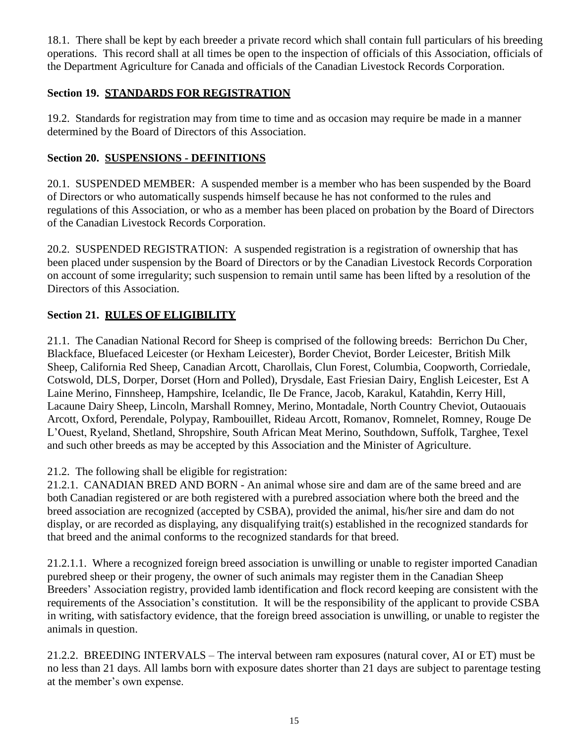18.1. There shall be kept by each breeder a private record which shall contain full particulars of his breeding operations. This record shall at all times be open to the inspection of officials of this Association, officials of the Department Agriculture for Canada and officials of the Canadian Livestock Records Corporation.

## **Section 19. STANDARDS FOR REGISTRATION**

19.2. Standards for registration may from time to time and as occasion may require be made in a manner determined by the Board of Directors of this Association.

## **Section 20. SUSPENSIONS - DEFINITIONS**

20.1. SUSPENDED MEMBER: A suspended member is a member who has been suspended by the Board of Directors or who automatically suspends himself because he has not conformed to the rules and regulations of this Association, or who as a member has been placed on probation by the Board of Directors of the Canadian Livestock Records Corporation.

20.2. SUSPENDED REGISTRATION: A suspended registration is a registration of ownership that has been placed under suspension by the Board of Directors or by the Canadian Livestock Records Corporation on account of some irregularity; such suspension to remain until same has been lifted by a resolution of the Directors of this Association.

## **Section 21. RULES OF ELIGIBILITY**

21.1. The Canadian National Record for Sheep is comprised of the following breeds: Berrichon Du Cher, Blackface, Bluefaced Leicester (or Hexham Leicester), Border Cheviot, Border Leicester, British Milk Sheep, California Red Sheep, Canadian Arcott, Charollais, Clun Forest, Columbia, Coopworth, Corriedale, Cotswold, DLS, Dorper, Dorset (Horn and Polled), Drysdale, East Friesian Dairy, English Leicester, Est A Laine Merino, Finnsheep, Hampshire, Icelandic, Ile De France, Jacob, Karakul, Katahdin, Kerry Hill, Lacaune Dairy Sheep, Lincoln, Marshall Romney, Merino, Montadale, North Country Cheviot, Outaouais Arcott, Oxford, Perendale, Polypay, Rambouillet, Rideau Arcott, Romanov, Romnelet, Romney, Rouge De L'Ouest, Ryeland, Shetland, Shropshire, South African Meat Merino, Southdown, Suffolk, Targhee, Texel and such other breeds as may be accepted by this Association and the Minister of Agriculture.

21.2. The following shall be eligible for registration:

21.2.1. CANADIAN BRED AND BORN - An animal whose sire and dam are of the same breed and are both Canadian registered or are both registered with a purebred association where both the breed and the breed association are recognized (accepted by CSBA), provided the animal, his/her sire and dam do not display, or are recorded as displaying, any disqualifying trait(s) established in the recognized standards for that breed and the animal conforms to the recognized standards for that breed.

21.2.1.1. Where a recognized foreign breed association is unwilling or unable to register imported Canadian purebred sheep or their progeny, the owner of such animals may register them in the Canadian Sheep Breeders' Association registry, provided lamb identification and flock record keeping are consistent with the requirements of the Association's constitution. It will be the responsibility of the applicant to provide CSBA in writing, with satisfactory evidence, that the foreign breed association is unwilling, or unable to register the animals in question.

21.2.2. BREEDING INTERVALS – The interval between ram exposures (natural cover, AI or ET) must be no less than 21 days. All lambs born with exposure dates shorter than 21 days are subject to parentage testing at the member's own expense.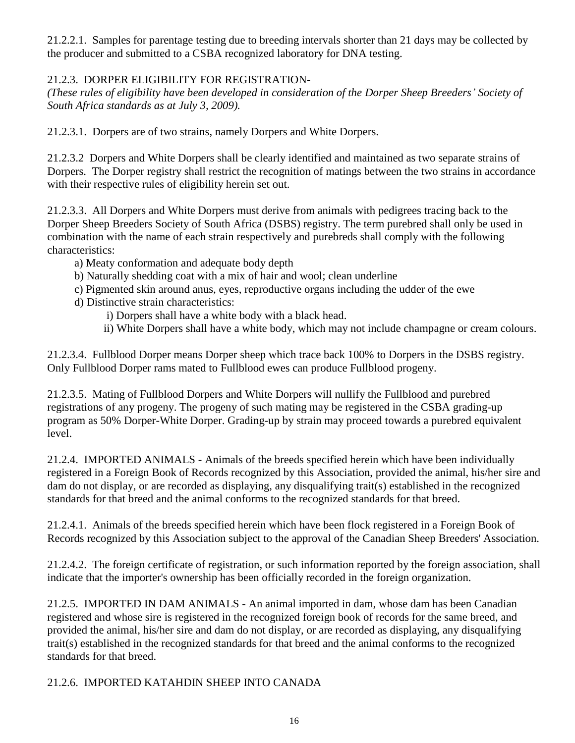21.2.2.1. Samples for parentage testing due to breeding intervals shorter than 21 days may be collected by the producer and submitted to a CSBA recognized laboratory for DNA testing.

## 21.2.3. DORPER ELIGIBILITY FOR REGISTRATION-

*(These rules of eligibility have been developed in consideration of the Dorper Sheep Breeders' Society of South Africa standards as at July 3, 2009).*

21.2.3.1. Dorpers are of two strains, namely Dorpers and White Dorpers.

21.2.3.2 Dorpers and White Dorpers shall be clearly identified and maintained as two separate strains of Dorpers. The Dorper registry shall restrict the recognition of matings between the two strains in accordance with their respective rules of eligibility herein set out.

21.2.3.3. All Dorpers and White Dorpers must derive from animals with pedigrees tracing back to the Dorper Sheep Breeders Society of South Africa (DSBS) registry. The term purebred shall only be used in combination with the name of each strain respectively and purebreds shall comply with the following characteristics:

- a) Meaty conformation and adequate body depth
- b) Naturally shedding coat with a mix of hair and wool; clean underline
- c) Pigmented skin around anus, eyes, reproductive organs including the udder of the ewe
- d) Distinctive strain characteristics:
	- i) Dorpers shall have a white body with a black head.
	- ii) White Dorpers shall have a white body, which may not include champagne or cream colours.

21.2.3.4. Fullblood Dorper means Dorper sheep which trace back 100% to Dorpers in the DSBS registry. Only Fullblood Dorper rams mated to Fullblood ewes can produce Fullblood progeny.

21.2.3.5. Mating of Fullblood Dorpers and White Dorpers will nullify the Fullblood and purebred registrations of any progeny. The progeny of such mating may be registered in the CSBA grading-up program as 50% Dorper-White Dorper. Grading-up by strain may proceed towards a purebred equivalent level.

21.2.4. IMPORTED ANIMALS - Animals of the breeds specified herein which have been individually registered in a Foreign Book of Records recognized by this Association, provided the animal, his/her sire and dam do not display, or are recorded as displaying, any disqualifying trait(s) established in the recognized standards for that breed and the animal conforms to the recognized standards for that breed.

21.2.4.1. Animals of the breeds specified herein which have been flock registered in a Foreign Book of Records recognized by this Association subject to the approval of the Canadian Sheep Breeders' Association.

21.2.4.2. The foreign certificate of registration, or such information reported by the foreign association, shall indicate that the importer's ownership has been officially recorded in the foreign organization.

21.2.5. IMPORTED IN DAM ANIMALS - An animal imported in dam, whose dam has been Canadian registered and whose sire is registered in the recognized foreign book of records for the same breed, and provided the animal, his/her sire and dam do not display, or are recorded as displaying, any disqualifying trait(s) established in the recognized standards for that breed and the animal conforms to the recognized standards for that breed.

## 21.2.6. IMPORTED KATAHDIN SHEEP INTO CANADA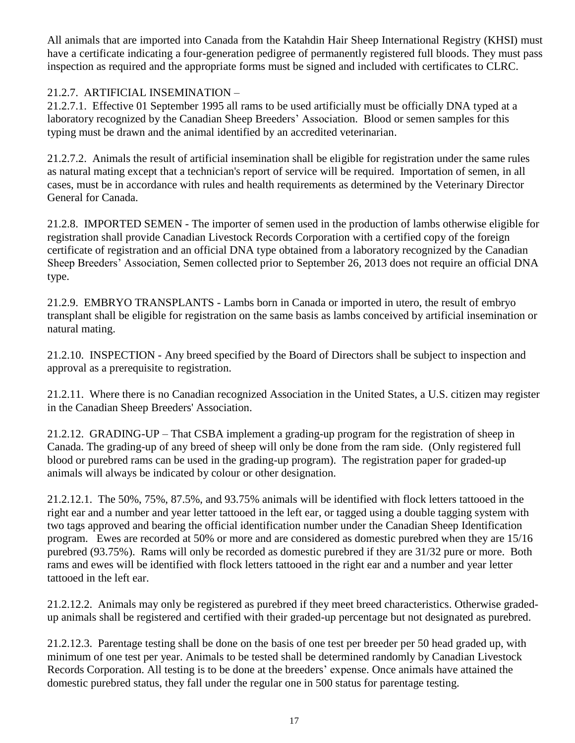All animals that are imported into Canada from the Katahdin Hair Sheep International Registry (KHSI) must have a certificate indicating a four-generation pedigree of permanently registered full bloods. They must pass inspection as required and the appropriate forms must be signed and included with certificates to CLRC.

## 21.2.7. ARTIFICIAL INSEMINATION –

21.2.7.1. Effective 01 September 1995 all rams to be used artificially must be officially DNA typed at a laboratory recognized by the Canadian Sheep Breeders' Association. Blood or semen samples for this typing must be drawn and the animal identified by an accredited veterinarian.

21.2.7.2. Animals the result of artificial insemination shall be eligible for registration under the same rules as natural mating except that a technician's report of service will be required. Importation of semen, in all cases, must be in accordance with rules and health requirements as determined by the Veterinary Director General for Canada.

21.2.8. IMPORTED SEMEN - The importer of semen used in the production of lambs otherwise eligible for registration shall provide Canadian Livestock Records Corporation with a certified copy of the foreign certificate of registration and an official DNA type obtained from a laboratory recognized by the Canadian Sheep Breeders' Association, Semen collected prior to September 26, 2013 does not require an official DNA type.

21.2.9. EMBRYO TRANSPLANTS - Lambs born in Canada or imported in utero, the result of embryo transplant shall be eligible for registration on the same basis as lambs conceived by artificial insemination or natural mating.

21.2.10. INSPECTION - Any breed specified by the Board of Directors shall be subject to inspection and approval as a prerequisite to registration.

21.2.11. Where there is no Canadian recognized Association in the United States, a U.S. citizen may register in the Canadian Sheep Breeders' Association.

21.2.12. GRADING-UP – That CSBA implement a grading-up program for the registration of sheep in Canada. The grading-up of any breed of sheep will only be done from the ram side. (Only registered full blood or purebred rams can be used in the grading-up program). The registration paper for graded-up animals will always be indicated by colour or other designation.

21.2.12.1. The 50%, 75%, 87.5%, and 93.75% animals will be identified with flock letters tattooed in the right ear and a number and year letter tattooed in the left ear, or tagged using a double tagging system with two tags approved and bearing the official identification number under the Canadian Sheep Identification program. Ewes are recorded at 50% or more and are considered as domestic purebred when they are 15/16 purebred (93.75%). Rams will only be recorded as domestic purebred if they are 31/32 pure or more. Both rams and ewes will be identified with flock letters tattooed in the right ear and a number and year letter tattooed in the left ear.

21.2.12.2. Animals may only be registered as purebred if they meet breed characteristics. Otherwise gradedup animals shall be registered and certified with their graded-up percentage but not designated as purebred.

21.2.12.3. Parentage testing shall be done on the basis of one test per breeder per 50 head graded up, with minimum of one test per year. Animals to be tested shall be determined randomly by Canadian Livestock Records Corporation. All testing is to be done at the breeders' expense. Once animals have attained the domestic purebred status, they fall under the regular one in 500 status for parentage testing.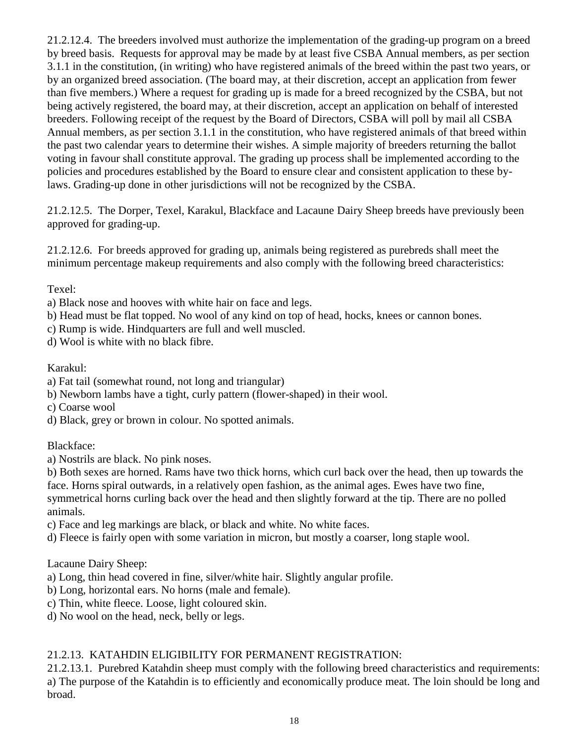21.2.12.4. The breeders involved must authorize the implementation of the grading-up program on a breed by breed basis. Requests for approval may be made by at least five CSBA Annual members, as per section 3.1.1 in the constitution, (in writing) who have registered animals of the breed within the past two years, or by an organized breed association. (The board may, at their discretion, accept an application from fewer than five members.) Where a request for grading up is made for a breed recognized by the CSBA, but not being actively registered, the board may, at their discretion, accept an application on behalf of interested breeders. Following receipt of the request by the Board of Directors, CSBA will poll by mail all CSBA Annual members, as per section 3.1.1 in the constitution, who have registered animals of that breed within the past two calendar years to determine their wishes. A simple majority of breeders returning the ballot voting in favour shall constitute approval. The grading up process shall be implemented according to the policies and procedures established by the Board to ensure clear and consistent application to these bylaws. Grading-up done in other jurisdictions will not be recognized by the CSBA.

21.2.12.5. The Dorper, Texel, Karakul, Blackface and Lacaune Dairy Sheep breeds have previously been approved for grading-up.

21.2.12.6. For breeds approved for grading up, animals being registered as purebreds shall meet the minimum percentage makeup requirements and also comply with the following breed characteristics:

Texel:

- a) Black nose and hooves with white hair on face and legs.
- b) Head must be flat topped. No wool of any kind on top of head, hocks, knees or cannon bones.
- c) Rump is wide. Hindquarters are full and well muscled.
- d) Wool is white with no black fibre.

#### Karakul:

- a) Fat tail (somewhat round, not long and triangular)
- b) Newborn lambs have a tight, curly pattern (flower-shaped) in their wool.
- c) Coarse wool
- d) Black, grey or brown in colour. No spotted animals.

Blackface:

a) Nostrils are black. No pink noses.

b) Both sexes are horned. Rams have two thick horns, which curl back over the head, then up towards the face. Horns spiral outwards, in a relatively open fashion, as the animal ages. Ewes have two fine, symmetrical horns curling back over the head and then slightly forward at the tip. There are no polled animals.

- c) Face and leg markings are black, or black and white. No white faces.
- d) Fleece is fairly open with some variation in micron, but mostly a coarser, long staple wool.

Lacaune Dairy Sheep:

- a) Long, thin head covered in fine, silver/white hair. Slightly angular profile.
- b) Long, horizontal ears. No horns (male and female).
- c) Thin, white fleece. Loose, light coloured skin.
- d) No wool on the head, neck, belly or legs.

## 21.2.13. KATAHDIN ELIGIBILITY FOR PERMANENT REGISTRATION:

21.2.13.1. Purebred Katahdin sheep must comply with the following breed characteristics and requirements: a) The purpose of the Katahdin is to efficiently and economically produce meat. The loin should be long and broad.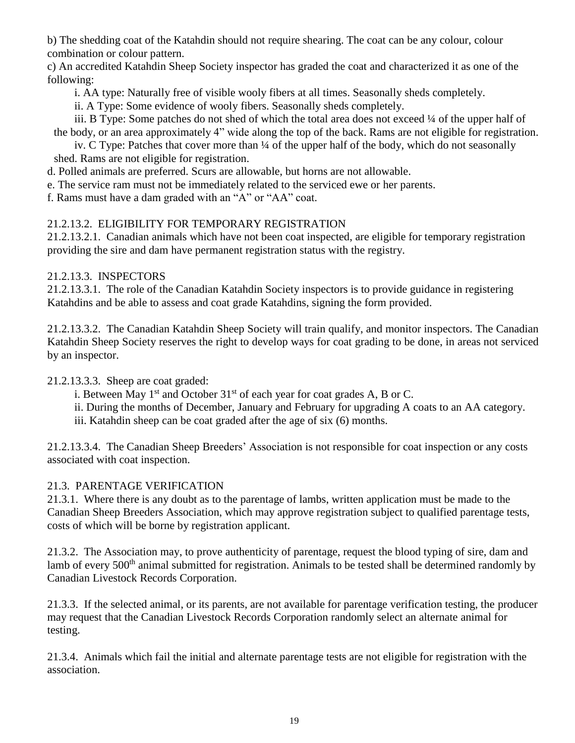b) The shedding coat of the Katahdin should not require shearing. The coat can be any colour, colour combination or colour pattern.

c) An accredited Katahdin Sheep Society inspector has graded the coat and characterized it as one of the following:

i. AA type: Naturally free of visible wooly fibers at all times. Seasonally sheds completely.

ii. A Type: Some evidence of wooly fibers. Seasonally sheds completely.

iii. B Type: Some patches do not shed of which the total area does not exceed ¼ of the upper half of the body, or an area approximately 4" wide along the top of the back. Rams are not eligible for registration.

iv. C Type: Patches that cover more than ¼ of the upper half of the body, which do not seasonally shed. Rams are not eligible for registration.

d. Polled animals are preferred. Scurs are allowable, but horns are not allowable.

e. The service ram must not be immediately related to the serviced ewe or her parents.

f. Rams must have a dam graded with an "A" or "AA" coat.

## 21.2.13.2. ELIGIBILITY FOR TEMPORARY REGISTRATION

21.2.13.2.1. Canadian animals which have not been coat inspected, are eligible for temporary registration providing the sire and dam have permanent registration status with the registry.

### 21.2.13.3. INSPECTORS

21.2.13.3.1. The role of the Canadian Katahdin Society inspectors is to provide guidance in registering Katahdins and be able to assess and coat grade Katahdins, signing the form provided.

21.2.13.3.2. The Canadian Katahdin Sheep Society will train qualify, and monitor inspectors. The Canadian Katahdin Sheep Society reserves the right to develop ways for coat grading to be done, in areas not serviced by an inspector.

## 21.2.13.3.3. Sheep are coat graded:

i. Between May 1<sup>st</sup> and October 31<sup>st</sup> of each year for coat grades A, B or C.

ii. During the months of December, January and February for upgrading A coats to an AA category. iii. Katahdin sheep can be coat graded after the age of six (6) months.

21.2.13.3.4. The Canadian Sheep Breeders' Association is not responsible for coat inspection or any costs associated with coat inspection.

## 21.3. PARENTAGE VERIFICATION

21.3.1. Where there is any doubt as to the parentage of lambs, written application must be made to the Canadian Sheep Breeders Association, which may approve registration subject to qualified parentage tests, costs of which will be borne by registration applicant.

21.3.2. The Association may, to prove authenticity of parentage, request the blood typing of sire, dam and lamb of every 500<sup>th</sup> animal submitted for registration. Animals to be tested shall be determined randomly by Canadian Livestock Records Corporation.

21.3.3. If the selected animal, or its parents, are not available for parentage verification testing, the producer may request that the Canadian Livestock Records Corporation randomly select an alternate animal for testing.

21.3.4. Animals which fail the initial and alternate parentage tests are not eligible for registration with the association.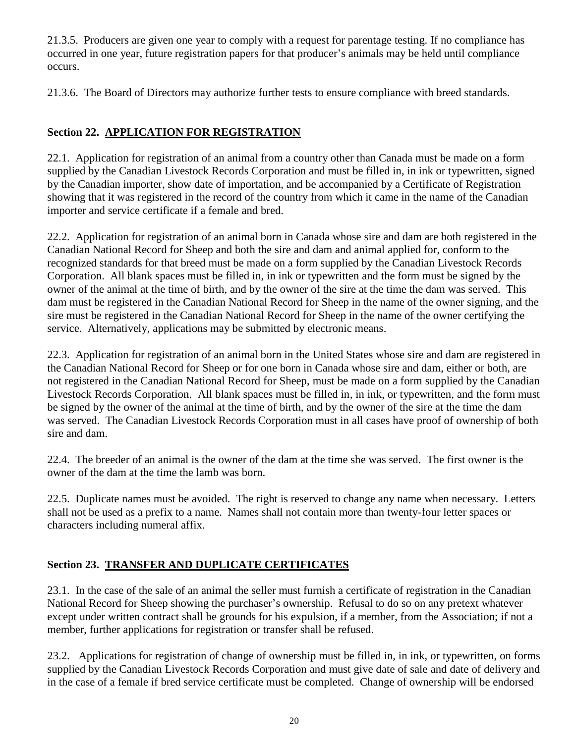21.3.5. Producers are given one year to comply with a request for parentage testing. If no compliance has occurred in one year, future registration papers for that producer's animals may be held until compliance occurs.

21.3.6. The Board of Directors may authorize further tests to ensure compliance with breed standards.

## **Section 22. APPLICATION FOR REGISTRATION**

22.1. Application for registration of an animal from a country other than Canada must be made on a form supplied by the Canadian Livestock Records Corporation and must be filled in, in ink or typewritten, signed by the Canadian importer, show date of importation, and be accompanied by a Certificate of Registration showing that it was registered in the record of the country from which it came in the name of the Canadian importer and service certificate if a female and bred.

22.2. Application for registration of an animal born in Canada whose sire and dam are both registered in the Canadian National Record for Sheep and both the sire and dam and animal applied for, conform to the recognized standards for that breed must be made on a form supplied by the Canadian Livestock Records Corporation. All blank spaces must be filled in, in ink or typewritten and the form must be signed by the owner of the animal at the time of birth, and by the owner of the sire at the time the dam was served. This dam must be registered in the Canadian National Record for Sheep in the name of the owner signing, and the sire must be registered in the Canadian National Record for Sheep in the name of the owner certifying the service. Alternatively, applications may be submitted by electronic means.

22.3. Application for registration of an animal born in the United States whose sire and dam are registered in the Canadian National Record for Sheep or for one born in Canada whose sire and dam, either or both, are not registered in the Canadian National Record for Sheep, must be made on a form supplied by the Canadian Livestock Records Corporation. All blank spaces must be filled in, in ink, or typewritten, and the form must be signed by the owner of the animal at the time of birth, and by the owner of the sire at the time the dam was served. The Canadian Livestock Records Corporation must in all cases have proof of ownership of both sire and dam.

22.4. The breeder of an animal is the owner of the dam at the time she was served. The first owner is the owner of the dam at the time the lamb was born.

22.5. Duplicate names must be avoided. The right is reserved to change any name when necessary. Letters shall not be used as a prefix to a name. Names shall not contain more than twenty-four letter spaces or characters including numeral affix.

## **Section 23. TRANSFER AND DUPLICATE CERTIFICATES**

23.1. In the case of the sale of an animal the seller must furnish a certificate of registration in the Canadian National Record for Sheep showing the purchaser's ownership. Refusal to do so on any pretext whatever except under written contract shall be grounds for his expulsion, if a member, from the Association; if not a member, further applications for registration or transfer shall be refused.

23.2. Applications for registration of change of ownership must be filled in, in ink, or typewritten, on forms supplied by the Canadian Livestock Records Corporation and must give date of sale and date of delivery and in the case of a female if bred service certificate must be completed. Change of ownership will be endorsed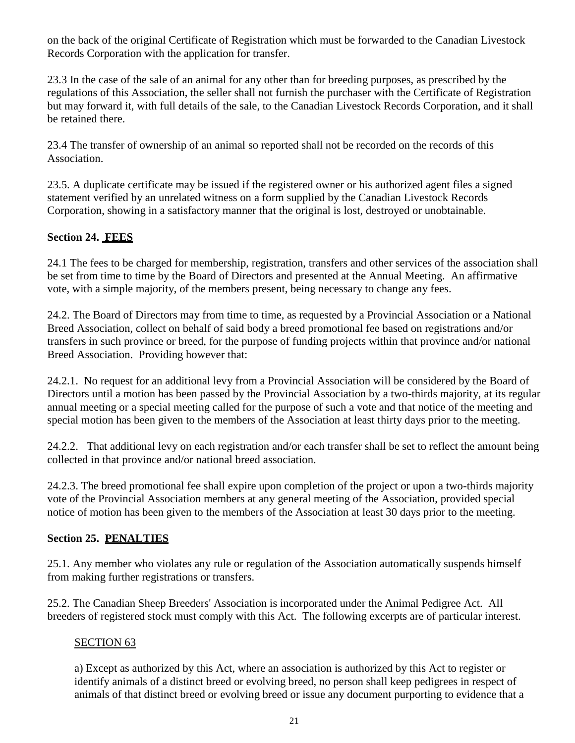on the back of the original Certificate of Registration which must be forwarded to the Canadian Livestock Records Corporation with the application for transfer.

23.3 In the case of the sale of an animal for any other than for breeding purposes, as prescribed by the regulations of this Association, the seller shall not furnish the purchaser with the Certificate of Registration but may forward it, with full details of the sale, to the Canadian Livestock Records Corporation, and it shall be retained there.

23.4 The transfer of ownership of an animal so reported shall not be recorded on the records of this Association.

23.5. A duplicate certificate may be issued if the registered owner or his authorized agent files a signed statement verified by an unrelated witness on a form supplied by the Canadian Livestock Records Corporation, showing in a satisfactory manner that the original is lost, destroyed or unobtainable.

## **Section 24. FEES**

24.1 The fees to be charged for membership, registration, transfers and other services of the association shall be set from time to time by the Board of Directors and presented at the Annual Meeting. An affirmative vote, with a simple majority, of the members present, being necessary to change any fees.

24.2. The Board of Directors may from time to time, as requested by a Provincial Association or a National Breed Association, collect on behalf of said body a breed promotional fee based on registrations and/or transfers in such province or breed, for the purpose of funding projects within that province and/or national Breed Association. Providing however that:

24.2.1. No request for an additional levy from a Provincial Association will be considered by the Board of Directors until a motion has been passed by the Provincial Association by a two-thirds majority, at its regular annual meeting or a special meeting called for the purpose of such a vote and that notice of the meeting and special motion has been given to the members of the Association at least thirty days prior to the meeting.

24.2.2. That additional levy on each registration and/or each transfer shall be set to reflect the amount being collected in that province and/or national breed association.

24.2.3. The breed promotional fee shall expire upon completion of the project or upon a two-thirds majority vote of the Provincial Association members at any general meeting of the Association, provided special notice of motion has been given to the members of the Association at least 30 days prior to the meeting.

#### **Section 25. PENALTIES**

25.1. Any member who violates any rule or regulation of the Association automatically suspends himself from making further registrations or transfers.

25.2. The Canadian Sheep Breeders' Association is incorporated under the Animal Pedigree Act. All breeders of registered stock must comply with this Act. The following excerpts are of particular interest.

#### SECTION 63

a) Except as authorized by this Act, where an association is authorized by this Act to register or identify animals of a distinct breed or evolving breed, no person shall keep pedigrees in respect of animals of that distinct breed or evolving breed or issue any document purporting to evidence that a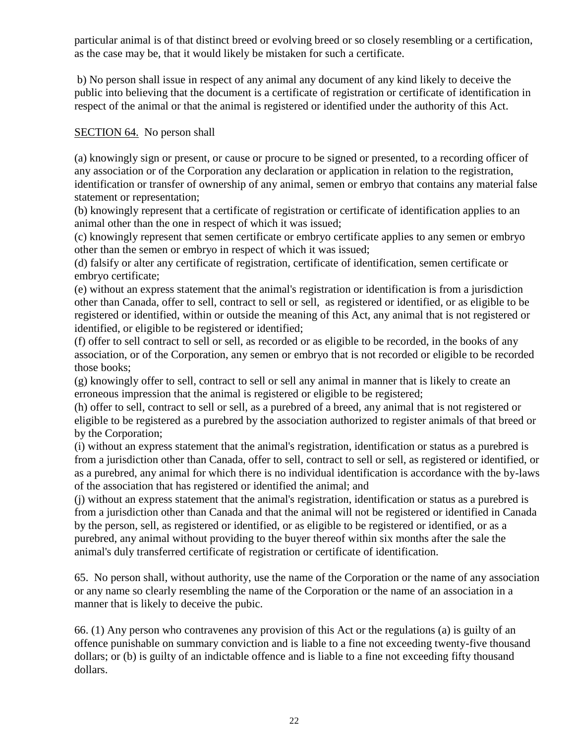particular animal is of that distinct breed or evolving breed or so closely resembling or a certification, as the case may be, that it would likely be mistaken for such a certificate.

b) No person shall issue in respect of any animal any document of any kind likely to deceive the public into believing that the document is a certificate of registration or certificate of identification in respect of the animal or that the animal is registered or identified under the authority of this Act.

#### SECTION 64. No person shall

(a) knowingly sign or present, or cause or procure to be signed or presented, to a recording officer of any association or of the Corporation any declaration or application in relation to the registration, identification or transfer of ownership of any animal, semen or embryo that contains any material false statement or representation;

(b) knowingly represent that a certificate of registration or certificate of identification applies to an animal other than the one in respect of which it was issued;

(c) knowingly represent that semen certificate or embryo certificate applies to any semen or embryo other than the semen or embryo in respect of which it was issued;

(d) falsify or alter any certificate of registration, certificate of identification, semen certificate or embryo certificate;

(e) without an express statement that the animal's registration or identification is from a jurisdiction other than Canada, offer to sell, contract to sell or sell, as registered or identified, or as eligible to be registered or identified, within or outside the meaning of this Act, any animal that is not registered or identified, or eligible to be registered or identified;

(f) offer to sell contract to sell or sell, as recorded or as eligible to be recorded, in the books of any association, or of the Corporation, any semen or embryo that is not recorded or eligible to be recorded those books;

(g) knowingly offer to sell, contract to sell or sell any animal in manner that is likely to create an erroneous impression that the animal is registered or eligible to be registered;

(h) offer to sell, contract to sell or sell, as a purebred of a breed, any animal that is not registered or eligible to be registered as a purebred by the association authorized to register animals of that breed or by the Corporation;

(i) without an express statement that the animal's registration, identification or status as a purebred is from a jurisdiction other than Canada, offer to sell, contract to sell or sell, as registered or identified, or as a purebred, any animal for which there is no individual identification is accordance with the by-laws of the association that has registered or identified the animal; and

(j) without an express statement that the animal's registration, identification or status as a purebred is from a jurisdiction other than Canada and that the animal will not be registered or identified in Canada by the person, sell, as registered or identified, or as eligible to be registered or identified, or as a purebred, any animal without providing to the buyer thereof within six months after the sale the animal's duly transferred certificate of registration or certificate of identification.

65. No person shall, without authority, use the name of the Corporation or the name of any association or any name so clearly resembling the name of the Corporation or the name of an association in a manner that is likely to deceive the pubic.

66. (1) Any person who contravenes any provision of this Act or the regulations (a) is guilty of an offence punishable on summary conviction and is liable to a fine not exceeding twenty-five thousand dollars; or (b) is guilty of an indictable offence and is liable to a fine not exceeding fifty thousand dollars.